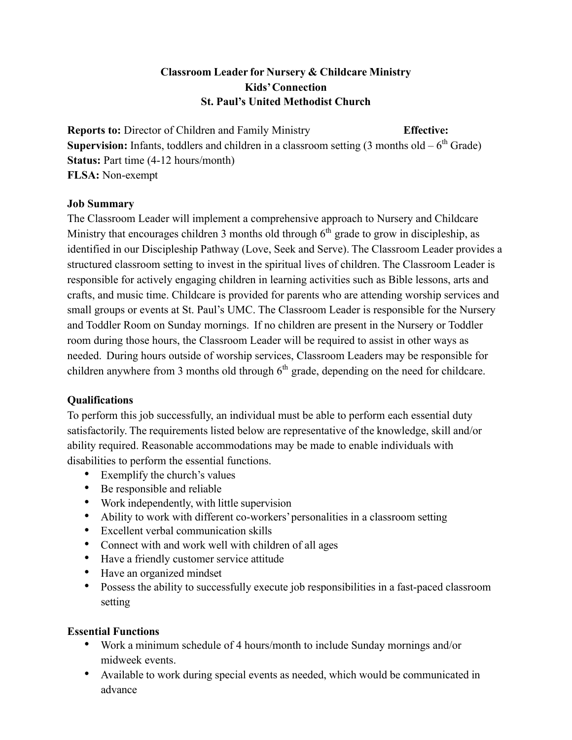## **Classroom Leader for Nursery & Childcare Ministry Kids'Connection St. Paul's United Methodist Church**

**Reports to:** Director of Children and Family Ministry **Effective: Supervision:** Infants, toddlers and children in a classroom setting  $(3 \text{ months old} - 6^{\text{th}} \text{ Grade})$ **Status:** Part time (4-12 hours/month) **FLSA:** Non-exempt

## **Job Summary**

The Classroom Leader will implement a comprehensive approach to Nursery and Childcare Ministry that encourages children 3 months old through  $6<sup>th</sup>$  grade to grow in discipleship, as identified in our Discipleship Pathway (Love, Seek and Serve). The Classroom Leader provides a structured classroom setting to invest in the spiritual lives of children. The Classroom Leader is responsible for actively engaging children in learning activities such as Bible lessons, arts and crafts, and music time. Childcare is provided for parents who are attending worship services and small groups or events at St. Paul's UMC. The Classroom Leader is responsible for the Nursery and Toddler Room on Sunday mornings. If no children are present in the Nursery or Toddler room during those hours, the Classroom Leader will be required to assist in other ways as needed. During hours outside of worship services, Classroom Leaders may be responsible for children anywhere from 3 months old through  $6<sup>th</sup>$  grade, depending on the need for childcare.

## **Qualifications**

To perform this job successfully, an individual must be able to perform each essential duty satisfactorily. The requirements listed below are representative of the knowledge, skill and/or ability required. Reasonable accommodations may be made to enable individuals with disabilities to perform the essential functions.

- Exemplify the church's values
- Be responsible and reliable
- Work independently, with little supervision
- Ability to work with different co-workers'personalities in a classroom setting
- Excellent verbal communication skills
- Connect with and work well with children of all ages
- Have a friendly customer service attitude
- Have an organized mindset
- Possess the ability to successfully execute job responsibilities in a fast-paced classroom setting

## **Essential Functions**

- Work a minimum schedule of 4 hours/month to include Sunday mornings and/or midweek events.
- Available to work during special events as needed, which would be communicated in advance